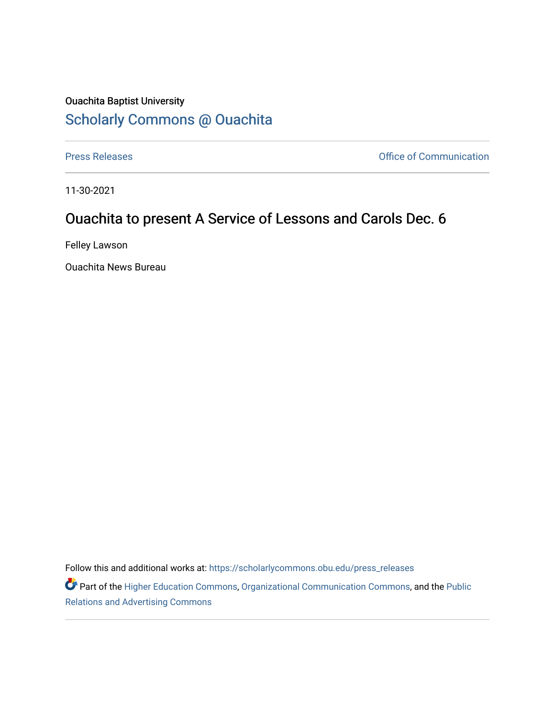## Ouachita Baptist University [Scholarly Commons @ Ouachita](https://scholarlycommons.obu.edu/)

[Press Releases](https://scholarlycommons.obu.edu/press_releases) **Press Releases Communication** 

11-30-2021

## Ouachita to present A Service of Lessons and Carols Dec. 6

Felley Lawson

Ouachita News Bureau

Follow this and additional works at: [https://scholarlycommons.obu.edu/press\\_releases](https://scholarlycommons.obu.edu/press_releases?utm_source=scholarlycommons.obu.edu%2Fpress_releases%2F882&utm_medium=PDF&utm_campaign=PDFCoverPages)

Part of the [Higher Education Commons,](http://network.bepress.com/hgg/discipline/1245?utm_source=scholarlycommons.obu.edu%2Fpress_releases%2F882&utm_medium=PDF&utm_campaign=PDFCoverPages) [Organizational Communication Commons,](http://network.bepress.com/hgg/discipline/335?utm_source=scholarlycommons.obu.edu%2Fpress_releases%2F882&utm_medium=PDF&utm_campaign=PDFCoverPages) and the [Public](http://network.bepress.com/hgg/discipline/336?utm_source=scholarlycommons.obu.edu%2Fpress_releases%2F882&utm_medium=PDF&utm_campaign=PDFCoverPages) [Relations and Advertising Commons](http://network.bepress.com/hgg/discipline/336?utm_source=scholarlycommons.obu.edu%2Fpress_releases%2F882&utm_medium=PDF&utm_campaign=PDFCoverPages)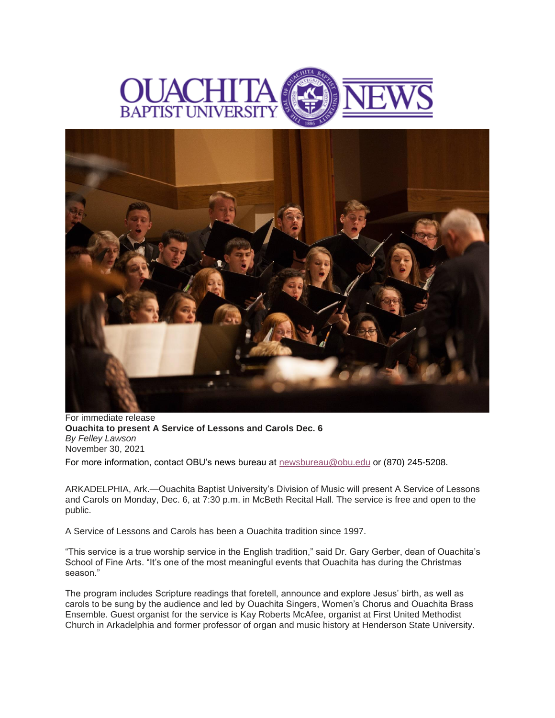



For immediate release **Ouachita to present A Service of Lessons and Carols Dec. 6** *By Felley Lawson* November 30, 2021

For more information, contact OBU's news bureau at [newsbureau@obu.edu](mailto:newsbureau@obu.edu) or (870) 245-5208.

ARKADELPHIA, Ark.—Ouachita Baptist University's Division of Music will present A Service of Lessons and Carols on Monday, Dec. 6, at 7:30 p.m. in McBeth Recital Hall. The service is free and open to the public.

A Service of Lessons and Carols has been a Ouachita tradition since 1997.

"This service is a true worship service in the English tradition," said Dr. Gary Gerber, dean of Ouachita's School of Fine Arts. "It's one of the most meaningful events that Ouachita has during the Christmas season."

The program includes Scripture readings that foretell, announce and explore Jesus' birth, as well as carols to be sung by the audience and led by Ouachita Singers, Women's Chorus and Ouachita Brass Ensemble. Guest organist for the service is Kay Roberts McAfee, organist at First United Methodist Church in Arkadelphia and former professor of organ and music history at Henderson State University.